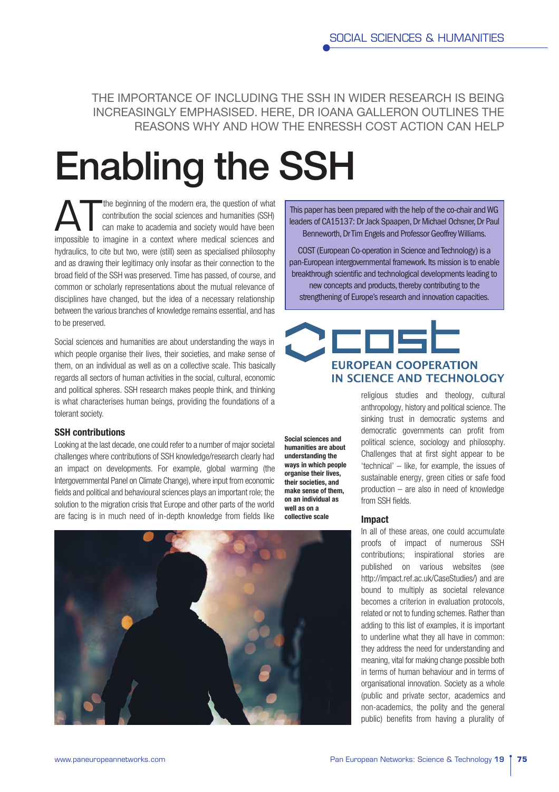THE IMPORTANCE OF INCLUDING THE SSH IN WIDER RESEARCH IS BEING INCREASINGLY EMPHASISED. HERE, DR IOANA GALLERON OUTLINES THE REASONS WHY AND HOW THE ENRESSH COST ACTION CAN HELP

# Enabling the SSH

The beginning of the modern era, the question of what<br>contribution the social sciences and humanities (SSH)<br>can make to academia and society would have been<br>impossible to imagine in a context where madieal sciences and contribution the social sciences and humanities (SSH) impossible to imagine in a context where medical sciences and hydraulics, to cite but two, were (still) seen as specialised philosophy and as drawing their legitimacy only insofar as their connection to the broad field of the SSH was preserved. Time has passed, of course, and common or scholarly representations about the mutual relevance of disciplines have changed, but the idea of a necessary relationship between the various branches of knowledge remains essential, and has to be preserved.

Social sciences and humanities are about understanding the ways in which people organise their lives, their societies, and make sense of them, on an individual as well as on a collective scale. This basically regards all sectors of human activities in the social, cultural, economic and political spheres. SSH research makes people think, and thinking is what characterises human beings, providing the foundations of a tolerant society.

# SSH contributions

Looking at the last decade, one could refer to a number of major societal challenges where contributions of SSH knowledge/research clearly had an impact on developments. For example, global warming (the Intergovernmental Panel on Climate Change), where input from economic felds and political and behavioural sciences plays an important role; the solution to the migration crisis that Europe and other parts of the world are facing is in much need of in-depth knowledge from fields like

Social sciences and humanities are about understanding the ways in which people organise their lives, their societies, and make sense of them, on an individual as well as on a collective scale



This paper has been prepared with the help of the co-chair and WG leaders of CA15137: Dr Jack Spaapen, Dr Michael Ochsner, Dr Paul Benneworth, Dr Tim Engels and Professor Geoffrey Williams.

COST (European Co-operation in Science and Technology) is a pan-European intergovernmental framework. Its mission is to enable breakthrough scientific and technological developments leading to new concepts and products, thereby contributing to the strengthening of Europe's research and innovation capacities.

# **EUROPEAN COOPERATION IN SCIENCE AND TECHNOLOGY**

religious studies and theology, cultural anthropology, history and political science. The sinking trust in democratic systems and democratic governments can profit from political science, sociology and philosophy. Challenges that at first sight appear to be 'technical' – like, for example, the issues of sustainable energy, green cities or safe food production – are also in need of knowledge from SSH fields.

## Impact

In all of these areas, one could accumulate proofs of impact of numerous SSH contributions; inspirational stories are published on various websites (see http://impact.ref.ac.uk/CaseStudies/) and are bound to multiply as societal relevance becomes a criterion in evaluation protocols, related or not to funding schemes. Rather than adding to this list of examples, it is important to underline what they all have in common: they address the need for understanding and meaning, vital for making change possible both in terms of human behaviour and in terms of organisational innovation. Society as a whole (public and private sector, academics and non-academics, the polity and the general public) benefits from having a plurality of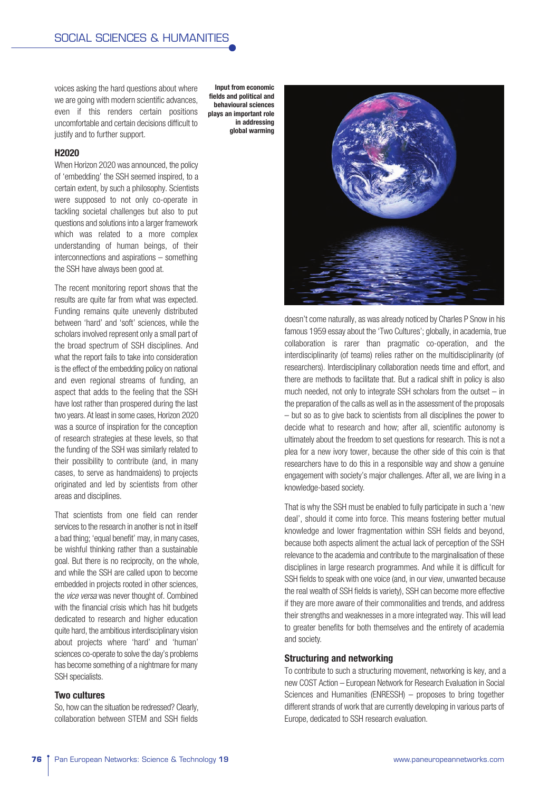voices asking the hard questions about where we are going with modern scientific advances, even if this renders certain positions uncomfortable and certain decisions difficult to justify and to further support.

#### H2020

When Horizon 2020 was announced, the policy of 'embedding' the SSH seemed inspired, to a certain extent, by such a philosophy. Scientists were supposed to not only co-operate in tackling societal challenges but also to put questions and solutions into a larger framework which was related to a more complex understanding of human beings, of their interconnections and aspirations – something the SSH have always been good at.

The recent monitoring report shows that the results are quite far from what was expected. Funding remains quite unevenly distributed between 'hard' and 'soft' sciences, while the scholars involved represent only a small part of the broad spectrum of SSH disciplines. And what the report fails to take into consideration is the effect of the embedding policy on national and even regional streams of funding, an aspect that adds to the feeling that the SSH have lost rather than prospered during the last two years. At least in some cases, Horizon 2020 was a source of inspiration for the conception of research strategies at these levels, so that the funding of the SSH was similarly related to their possibility to contribute (and, in many cases, to serve as handmaidens) to projects originated and led by scientists from other areas and disciplines.

That scientists from one field can render services to the research in another is not in itself a bad thing; 'equal benefit' may, in many cases, be wishful thinking rather than a sustainable goal. But there is no reciprocity, on the whole, and while the SSH are called upon to become embedded in projects rooted in other sciences, the *vice versa* was never thought of. Combined with the financial crisis which has hit budgets dedicated to research and higher education quite hard, the ambitious interdisciplinary vision about projects where 'hard' and 'human' sciences co-operate to solve the day's problems has become something of a nightmare for many SSH specialists.

# Two cultures

So, how can the situation be redressed? Clearly, collaboration between STEM and SSH felds

Input from economic felds and political and behavioural sciences plays an important role in addressing global warming



doesn't come naturally, as was already noticed by Charles P Snow in his famous 1959 essay about the 'Two Cultures'; globally, in academia, true collaboration is rarer than pragmatic co-operation, and the interdisciplinarity (of teams) relies rather on the multidisciplinarity (of researchers). Interdisciplinary collaboration needs time and effort, and there are methods to facilitate that. But a radical shift in policy is also much needed, not only to integrate SSH scholars from the outset – in the preparation of the calls as well as in the assessment of the proposals – but so as to give back to scientists from all disciplines the power to decide what to research and how; after all, scientific autonomy is ultimately about the freedom to set questions for research. This is not a plea for a new ivory tower, because the other side of this coin is that researchers have to do this in a responsible way and show a genuine engagement with society's major challenges. After all, we are living in a knowledge-based society.

That is why the SSH must be enabled to fully participate in such a 'new deal', should it come into force. This means fostering better mutual knowledge and lower fragmentation within SSH fields and beyond, because both aspects aliment the actual lack of perception of the SSH relevance to the academia and contribute to the marginalisation of these disciplines in large research programmes. And while it is difficult for SSH fields to speak with one voice (and, in our view, unwanted because the real wealth of SSH felds is variety), SSH can become more effective if they are more aware of their commonalities and trends, and address their strengths and weaknesses in a more integrated way. This will lead to greater benefits for both themselves and the entirety of academia and society.

# Structuring and networking

To contribute to such a structuring movement, networking is key, and a new COST Action – European Network for Research Evaluation in Social Sciences and Humanities (ENRESSH) – proposes to bring together different strands of work that are currently developing in various parts of Europe, dedicated to SSH research evaluation.